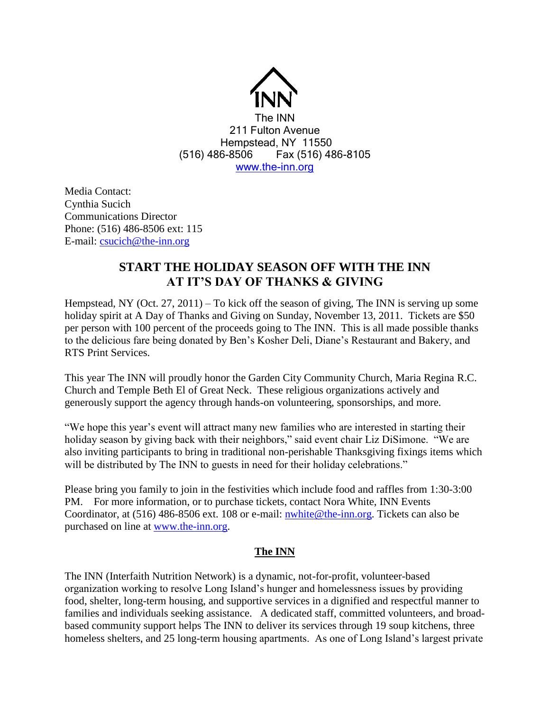

Media Contact: Cynthia Sucich Communications Director Phone: (516) 486-8506 ext: 115 E-mail: [csucich@the-inn.org](mailto:csucich@the-inn.org)

## **START THE HOLIDAY SEASON OFF WITH THE INN AT IT'S DAY OF THANKS & GIVING**

Hempstead, NY (Oct. 27, 2011) – To kick off the season of giving, The INN is serving up some holiday spirit at A Day of Thanks and Giving on Sunday, November 13, 2011. Tickets are \$50 per person with 100 percent of the proceeds going to The INN. This is all made possible thanks to the delicious fare being donated by Ben's Kosher Deli, Diane's Restaurant and Bakery, and RTS Print Services.

This year The INN will proudly honor the Garden City Community Church, Maria Regina R.C. Church and Temple Beth El of Great Neck. These religious organizations actively and generously support the agency through hands-on volunteering, sponsorships, and more.

"We hope this year's event will attract many new families who are interested in starting their holiday season by giving back with their neighbors," said event chair Liz DiSimone. "We are also inviting participants to bring in traditional non-perishable Thanksgiving fixings items which will be distributed by The INN to guests in need for their holiday celebrations."

Please bring you family to join in the festivities which include food and raffles from 1:30-3:00 PM. For more information, or to purchase tickets, contact Nora White, INN Events Coordinator, at (516) 486-8506 ext. 108 or e-mail: [nwhite@the-inn.org.](mailto:nwhite@the-inn.org) Tickets can also be purchased on line at [www.the-inn.org.](http://www.the-inn.org/)

## **The INN**

The INN (Interfaith Nutrition Network) is a dynamic, not-for-profit, volunteer-based organization working to resolve Long Island's hunger and homelessness issues by providing food, shelter, long-term housing, and supportive services in a dignified and respectful manner to families and individuals seeking assistance. A dedicated staff, committed volunteers, and broadbased community support helps The INN to deliver its services through 19 soup kitchens, three homeless shelters, and 25 long-term housing apartments. As one of Long Island's largest private